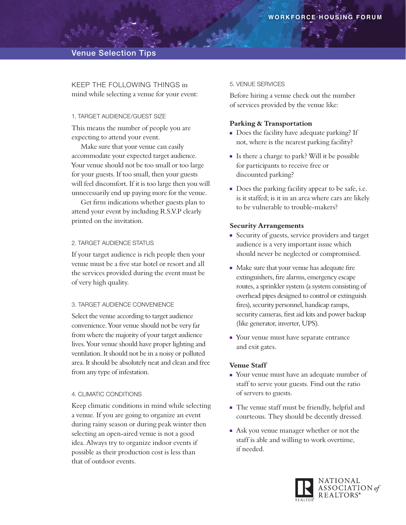Keep THE following things in mind while selecting a venue for your event:

### 1. Target Audience/Guest Size

This means the number of people you are expecting to attend your event.

Make sure that your venue can easily accommodate your expected target audience. Your venue should not be too small or too large for your guests. If too small, then your guests will feel discomfort. If it is too large then you will unnecessarily end up paying more for the venue.

Get firm indications whether guests plan to attend your event by including R.S.V.P clearly printed on the invitation.

#### 2. Target Audience Status

If your target audience is rich people then your venue must be a five star hotel or resort and all the services provided during the event must be of very high quality.

#### 3. Target Audience Convenience

Select the venue according to target audience convenience. Your venue should not be very far from where the majority of your target audience lives. Your venue should have proper lighting and ventilation. It should not be in a noisy or polluted area. It should be absolutely neat and clean and free from any type of infestation.

### 4. Climatic Conditions

Keep climatic conditions in mind while selecting a venue. If you are going to organize an event during rainy season or during peak winter then selecting an open-aired venue is not a good idea. Always try to organize indoor events if possible as their production cost is less than that of outdoor events.

#### 5. Venue Services

Before hiring a venue check out the number of services provided by the venue like:

### **Parking & Transportation**

- Does the facility have adequate parking? If not, where is the nearest parking facility?
- <sup>n</sup> Is there a charge to park? Will it be possible for participants to receive free or discounted parking?
- $\blacksquare$  Does the parking facility appear to be safe, i.e. is it staffed; is it in an area where cars are likely to be vulnerable to trouble-makers?

### **Security Arrangements**

- Security of guests, service providers and target audience is a very important issue which should never be neglected or compromised.
- Make sure that your venue has adequate fire extinguishers, fire alarms, emergency escape routes, a sprinkler system (a system consisting of overhead pipes designed to control or extinguish fires), security personnel, handicap ramps, security cameras, first aid kits and power backup (like generator, inverter, UPS).
- Your venue must have separate entrance and exit gates.

## **Venue Staff**

- <sup>n</sup> Your venue must have an adequate number of staff to serve your guests. Find out the ratio of servers to guests.
- The venue staff must be friendly, helpful and courteous. They should be decently dressed.
- **Ask you venue manager whether or not the** staff is able and willing to work overtime, if needed.

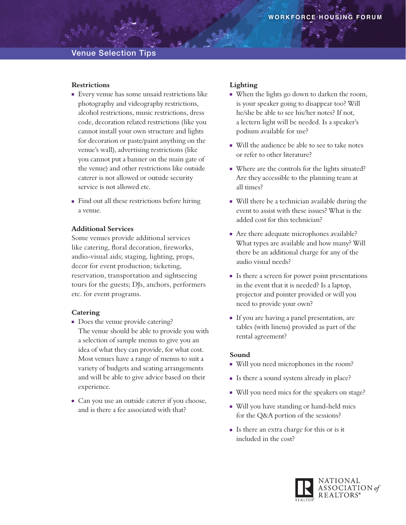## **Restrictions**

- <sup>n</sup> Every venue has some unsaid restrictions like photography and videography restrictions, alcohol restrictions, music restrictions, dress code, decoration related restrictions (like you cannot install your own structure and lights for decoration or paste/paint anything on the venue's wall), advertising restrictions (like you cannot put a banner on the main gate of the venue) and other restrictions like outside caterer is not allowed or outside security service is not allowed etc.
- Find out all these restrictions before hiring a venue.

## **Additional Services**

Some venues provide additional services like catering, floral decoration, fireworks, audio-visual aids; staging, lighting, props, decor for event production; ticketing, reservation, transportation and sightseeing tours for the guests; DJs, anchors, performers etc. for event programs.

#### **Catering**

- Does the venue provide catering? The venue should be able to provide you with a selection of sample menus to give you an idea of what they can provide, for what cost. Most venues have a range of menus to suit a variety of budgets and seating arrangements and will be able to give advice based on their experience.
- <sup>n</sup> Can you use an outside caterer if you choose, and is there a fee associated with that?

## **Lighting**

- <sup>n</sup> When the lights go down to darken the room, is your speaker going to disappear too? Will he/she be able to see his/her notes? If not, a lectern light will be needed. Is a speaker's podium available for use?
- Will the audience be able to see to take notes or refer to other literature?
- <sup>n</sup> Where are the controls for the lights situated? Are they accessible to the planning team at all times?
- Will there be a technician available during the event to assist with these issues? What is the added cost for this technician?
- Are there adequate microphones available? What types are available and how many? Will there be an additional charge for any of the audio visual needs?
- <sup>n</sup> Is there a screen for power point presentations in the event that it is needed? Is a laptop, projector and pointer provided or will you need to provide your own?
- <sup>n</sup> If you are having a panel presentation, are tables (with linens) provided as part of the rental agreement?

## **Sound**

- <sup>n</sup> Will you need microphones in the room?
- <sup>n</sup> Is there a sound system already in place?
- Will you need mics for the speakers on stage?
- Will you have standing or hand-held mics for the Q&A portion of the sessions?
- <sup>n</sup> Is there an extra charge for this or is it included in the cost?

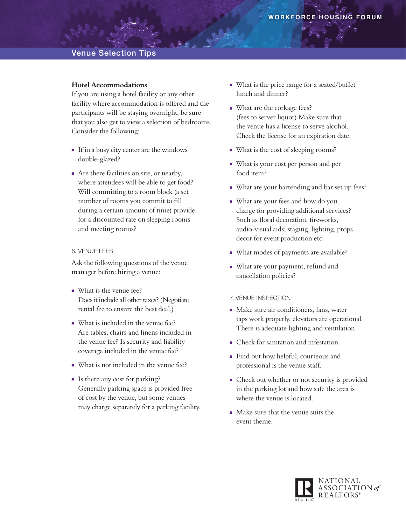## **Hotel Accommodations**

If you are using a hotel facility or any other facility where accommodation is offered and the participants will be staying overnight, be sure that you also get to view a selection of bedrooms. Consider the following:

- <sup>n</sup> If in a busy city center are the windows double-glazed?
- <sup>n</sup> Are there facilities on site, or nearby, where attendees will be able to get food? Will committing to a room block (a set number of rooms you commit to fill during a certain amount of time) provide for a discounted rate on sleeping rooms and meeting rooms?

## 6. Venue Fees

Ask the following questions of the venue manager before hiring a venue:

- What is the venue fee? Does it include all other taxes? (Negotiate rental fee to ensure the best deal.)
- What is included in the venue fee? Are tables, chairs and linens included in the venue fee? Is security and liability coverage included in the venue fee?
- What is not included in the venue fee?
- <sup>n</sup> Is there any cost for parking? Generally parking space is provided free of cost by the venue, but some venues may charge separately for a parking facility.
- <sup>n</sup> What is the price range for a seated/buffet lunch and dinner?
- **Nhat are the corkage fees?** (fees to server liquor) Make sure that the venue has a license to serve alcohol. Check the license for an expiration date.
- What is the cost of sleeping rooms?
- <sup>n</sup> What is your cost per person and per food item?
- What are your bartending and bar set up fees?
- What are your fees and how do you charge for providing additional services? Such as floral decoration, fireworks, audio-visual aids; staging, lighting, props, decor for event production etc.
- What modes of payments are available?
- **Nhat are your payment, refund and** cancellation policies?

#### 7. Venue Inspection

- Make sure air conditioners, fans, water taps work properly, elevators are operational. There is adequate lighting and ventilation.
- <sup>n</sup> Check for sanitation and infestation.
- <sup>n</sup> Find out how helpful, courteous and professional is the venue staff.
- <sup>n</sup> Check out whether or not security is provided in the parking lot and how safe the area is where the venue is located.
- $\blacksquare$  Make sure that the venue suits the event theme.